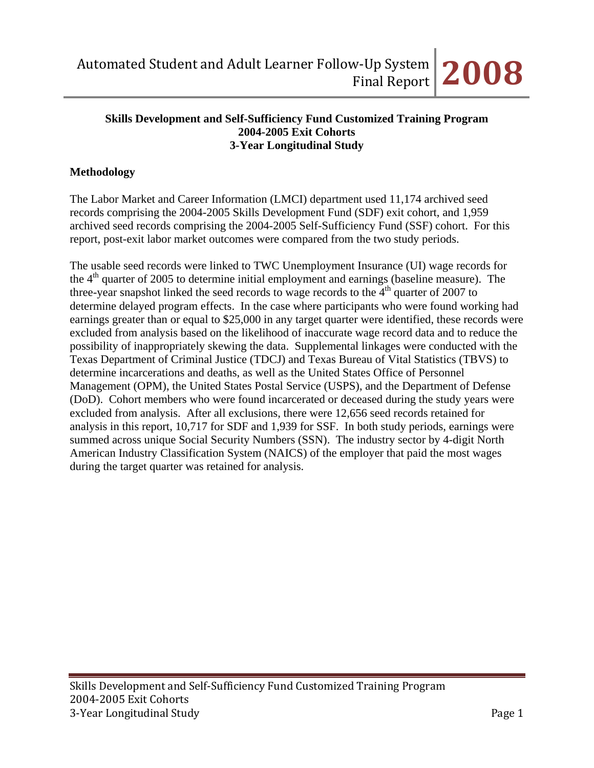#### **Skills Development and Self-Sufficiency Fund Customized Training Program 2004-2005 Exit Cohorts 3-Year Longitudinal Study**

## **Methodology**

The Labor Market and Career Information (LMCI) department used 11,174 archived seed records comprising the 2004-2005 Skills Development Fund (SDF) exit cohort, and 1,959 archived seed records comprising the 2004-2005 Self-Sufficiency Fund (SSF) cohort. For this report, post-exit labor market outcomes were compared from the two study periods.

The usable seed records were linked to TWC Unemployment Insurance (UI) wage records for the  $4<sup>th</sup>$  quarter of 2005 to determine initial employment and earnings (baseline measure). The three-year snapshot linked the seed records to wage records to the  $4<sup>th</sup>$  quarter of 2007 to determine delayed program effects. In the case where participants who were found working had earnings greater than or equal to \$25,000 in any target quarter were identified, these records were excluded from analysis based on the likelihood of inaccurate wage record data and to reduce the possibility of inappropriately skewing the data. Supplemental linkages were conducted with the Texas Department of Criminal Justice (TDCJ) and Texas Bureau of Vital Statistics (TBVS) to determine incarcerations and deaths, as well as the United States Office of Personnel Management (OPM), the United States Postal Service (USPS), and the Department of Defense (DoD). Cohort members who were found incarcerated or deceased during the study years were excluded from analysis. After all exclusions, there were 12,656 seed records retained for analysis in this report, 10,717 for SDF and 1,939 for SSF. In both study periods, earnings were summed across unique Social Security Numbers (SSN). The industry sector by 4-digit North American Industry Classification System (NAICS) of the employer that paid the most wages during the target quarter was retained for analysis.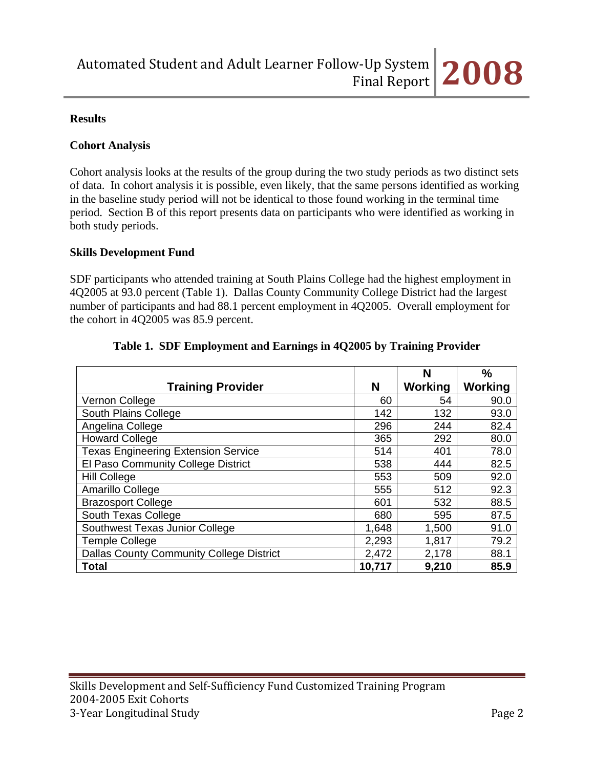## **Results**

#### **Cohort Analysis**

Cohort analysis looks at the results of the group during the two study periods as two distinct sets of data. In cohort analysis it is possible, even likely, that the same persons identified as working in the baseline study period will not be identical to those found working in the terminal time period. Section B of this report presents data on participants who were identified as working in both study periods.

#### **Skills Development Fund**

SDF participants who attended training at South Plains College had the highest employment in 4Q2005 at 93.0 percent (Table 1). Dallas County Community College District had the largest number of participants and had 88.1 percent employment in 4Q2005. Overall employment for the cohort in 4Q2005 was 85.9 percent.

|                                                 |        | N       | %              |
|-------------------------------------------------|--------|---------|----------------|
| <b>Training Provider</b>                        | N      | Working | <b>Working</b> |
| Vernon College                                  | 60     | 54      | 90.0           |
| South Plains College                            | 142    | 132     | 93.0           |
| Angelina College                                | 296    | 244     | 82.4           |
| <b>Howard College</b>                           | 365    | 292     | 80.0           |
| <b>Texas Engineering Extension Service</b>      | 514    | 401     | 78.0           |
| El Paso Community College District              | 538    | 444     | 82.5           |
| <b>Hill College</b>                             | 553    | 509     | 92.0           |
| Amarillo College                                | 555    | 512     | 92.3           |
| <b>Brazosport College</b>                       | 601    | 532     | 88.5           |
| South Texas College                             | 680    | 595     | 87.5           |
| Southwest Texas Junior College                  | 1,648  | 1,500   | 91.0           |
| <b>Temple College</b>                           | 2,293  | 1,817   | 79.2           |
| <b>Dallas County Community College District</b> | 2,472  | 2,178   | 88.1           |
| <b>Total</b>                                    | 10,717 | 9,210   | 85.9           |

## **Table 1. SDF Employment and Earnings in 4Q2005 by Training Provider**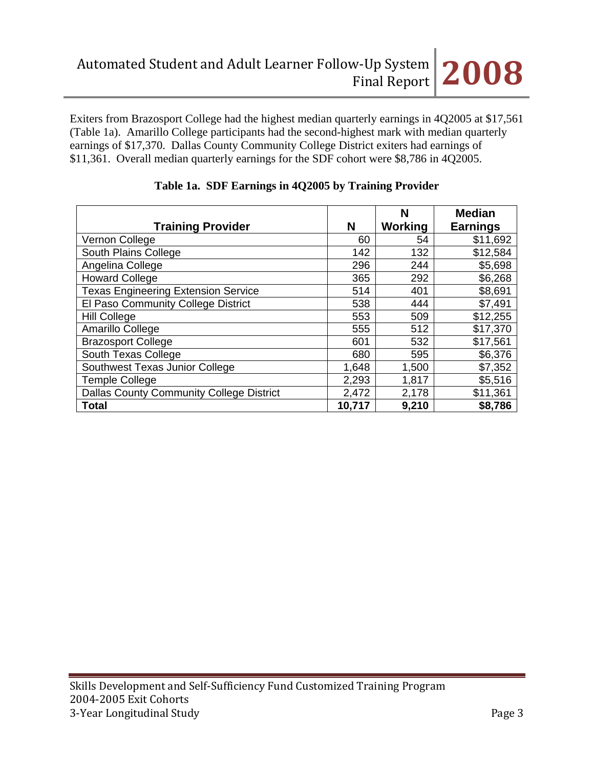Exiters from Brazosport College had the highest median quarterly earnings in 4Q2005 at \$17,561 (Table 1a). Amarillo College participants had the second-highest mark with median quarterly earnings of \$17,370. Dallas County Community College District exiters had earnings of \$11,361. Overall median quarterly earnings for the SDF cohort were \$8,786 in 4Q2005.

|                                                 |        | N       | <b>Median</b>   |
|-------------------------------------------------|--------|---------|-----------------|
| <b>Training Provider</b>                        | N      | Working | <b>Earnings</b> |
| Vernon College                                  | 60     | 54      | \$11,692        |
| South Plains College                            | 142    | 132     | \$12,584        |
| Angelina College                                | 296    | 244     | \$5,698         |
| <b>Howard College</b>                           | 365    | 292     | \$6,268         |
| <b>Texas Engineering Extension Service</b>      | 514    | 401     | \$8,691         |
| El Paso Community College District              | 538    | 444     | \$7,491         |
| <b>Hill College</b>                             | 553    | 509     | \$12,255        |
| Amarillo College                                | 555    | 512     | \$17,370        |
| <b>Brazosport College</b>                       | 601    | 532     | \$17,561        |
| South Texas College                             | 680    | 595     | \$6,376         |
| Southwest Texas Junior College                  | 1,648  | 1,500   | \$7,352         |
| <b>Temple College</b>                           | 2,293  | 1,817   | \$5,516         |
| <b>Dallas County Community College District</b> | 2,472  | 2,178   | \$11,361        |
| <b>Total</b>                                    | 10,717 | 9,210   | \$8,786         |

## **Table 1a. SDF Earnings in 4Q2005 by Training Provider**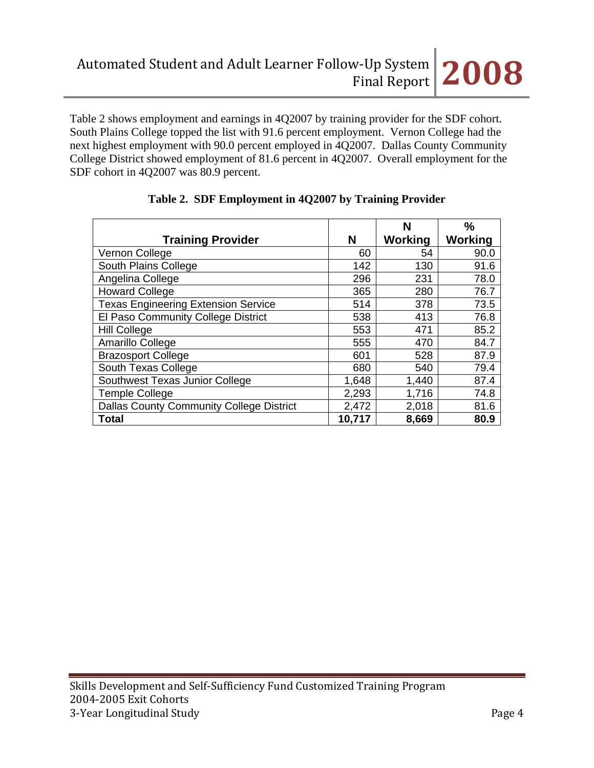Table 2 shows employment and earnings in 4Q2007 by training provider for the SDF cohort. South Plains College topped the list with 91.6 percent employment. Vernon College had the next highest employment with 90.0 percent employed in 4Q2007. Dallas County Community College District showed employment of 81.6 percent in 4Q2007. Overall employment for the SDF cohort in 4Q2007 was 80.9 percent.

|                                                 |        | N       | $\frac{0}{0}$  |
|-------------------------------------------------|--------|---------|----------------|
| <b>Training Provider</b>                        | N      | Working | <b>Working</b> |
| Vernon College                                  | 60     | 54      | 90.0           |
| South Plains College                            | 142    | 130     | 91.6           |
| Angelina College                                | 296    | 231     | 78.0           |
| <b>Howard College</b>                           | 365    | 280     | 76.7           |
| <b>Texas Engineering Extension Service</b>      | 514    | 378     | 73.5           |
| El Paso Community College District              | 538    | 413     | 76.8           |
| <b>Hill College</b>                             | 553    | 471     | 85.2           |
| Amarillo College                                | 555    | 470     | 84.7           |
| <b>Brazosport College</b>                       | 601    | 528     | 87.9           |
| South Texas College                             | 680    | 540     | 79.4           |
| Southwest Texas Junior College                  | 1,648  | 1,440   | 87.4           |
| <b>Temple College</b>                           | 2,293  | 1,716   | 74.8           |
| <b>Dallas County Community College District</b> | 2,472  | 2,018   | 81.6           |
| Total                                           | 10,717 | 8,669   | 80.9           |

# **Table 2. SDF Employment in 4Q2007 by Training Provider**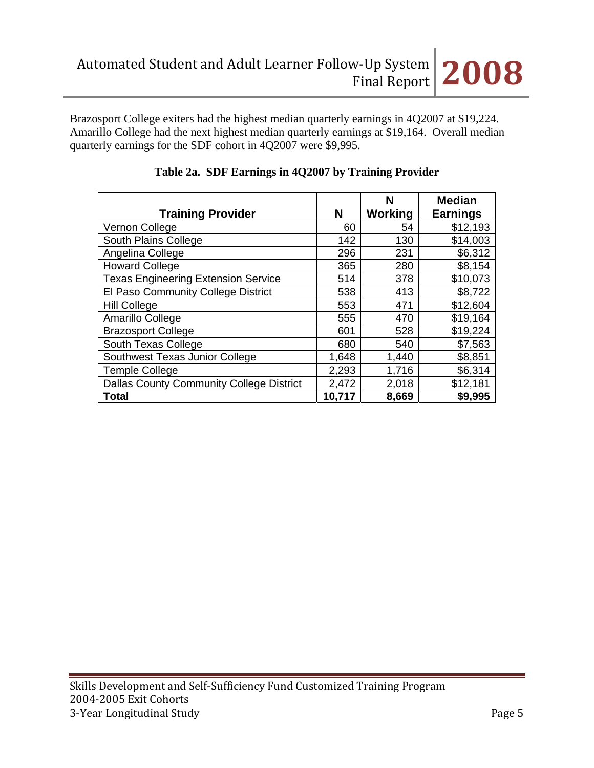

Brazosport College exiters had the highest median quarterly earnings in 4Q2007 at \$19,224. Amarillo College had the next highest median quarterly earnings at \$19,164. Overall median quarterly earnings for the SDF cohort in 4Q2007 were \$9,995.

|                                                 |        | N       | <b>Median</b>   |
|-------------------------------------------------|--------|---------|-----------------|
| <b>Training Provider</b>                        | N      | Working | <b>Earnings</b> |
| Vernon College                                  | 60     | 54      | \$12,193        |
| South Plains College                            | 142    | 130     | \$14,003        |
| Angelina College                                | 296    | 231     | \$6,312         |
| <b>Howard College</b>                           | 365    | 280     | \$8,154         |
| <b>Texas Engineering Extension Service</b>      | 514    | 378     | \$10,073        |
| El Paso Community College District              | 538    | 413     | \$8,722         |
| <b>Hill College</b>                             | 553    | 471     | \$12,604        |
| Amarillo College                                | 555    | 470     | \$19,164        |
| <b>Brazosport College</b>                       | 601    | 528     | \$19,224        |
| South Texas College                             | 680    | 540     | \$7,563         |
| Southwest Texas Junior College                  | 1,648  | 1,440   | \$8,851         |
| <b>Temple College</b>                           | 2,293  | 1,716   | \$6,314         |
| <b>Dallas County Community College District</b> | 2,472  | 2,018   | \$12,181        |
| <b>Total</b>                                    | 10,717 | 8,669   | \$9,995         |

# **Table 2a. SDF Earnings in 4Q2007 by Training Provider**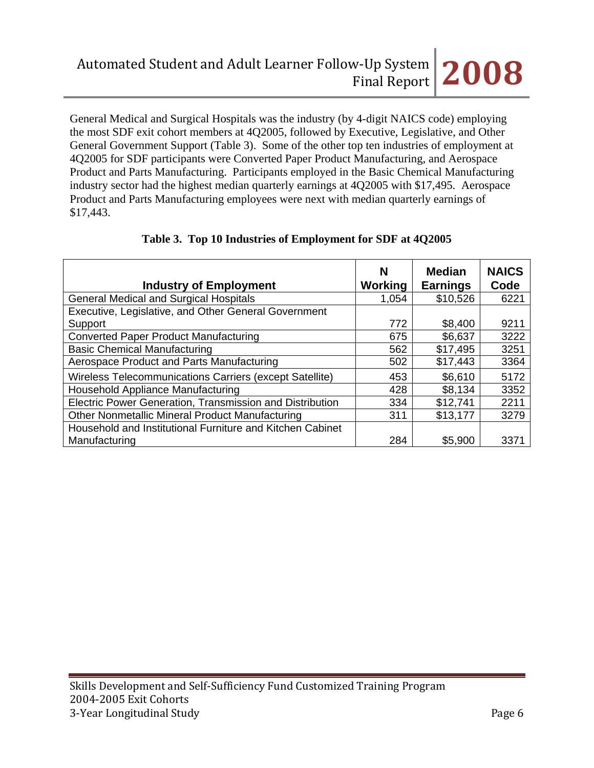General Medical and Surgical Hospitals was the industry (by 4-digit NAICS code) employing the most SDF exit cohort members at 4Q2005, followed by Executive, Legislative, and Other General Government Support (Table 3). Some of the other top ten industries of employment at 4Q2005 for SDF participants were Converted Paper Product Manufacturing, and Aerospace Product and Parts Manufacturing. Participants employed in the Basic Chemical Manufacturing industry sector had the highest median quarterly earnings at 4Q2005 with \$17,495. Aerospace Product and Parts Manufacturing employees were next with median quarterly earnings of \$17,443.

| <b>Industry of Employment</b>                             | N<br>Working | <b>Median</b><br><b>Earnings</b> | <b>NAICS</b><br>Code |
|-----------------------------------------------------------|--------------|----------------------------------|----------------------|
| <b>General Medical and Surgical Hospitals</b>             | 1,054        | \$10,526                         | 6221                 |
| Executive, Legislative, and Other General Government      |              |                                  |                      |
| Support                                                   | 772          | \$8,400                          | 9211                 |
| <b>Converted Paper Product Manufacturing</b>              | 675          | \$6,637                          | 3222                 |
| <b>Basic Chemical Manufacturing</b>                       | 562          | \$17,495                         | 3251                 |
| Aerospace Product and Parts Manufacturing                 | 502          | \$17,443                         | 3364                 |
| Wireless Telecommunications Carriers (except Satellite)   | 453          | \$6,610                          | 5172                 |
| Household Appliance Manufacturing                         | 428          | \$8,134                          | 3352                 |
| Electric Power Generation, Transmission and Distribution  | 334          | \$12,741                         | 2211                 |
| Other Nonmetallic Mineral Product Manufacturing           | 311          | \$13,177                         | 3279                 |
| Household and Institutional Furniture and Kitchen Cabinet |              |                                  |                      |
| Manufacturing                                             | 284          | \$5,900                          | 3371                 |

## **Table 3. Top 10 Industries of Employment for SDF at 4Q2005**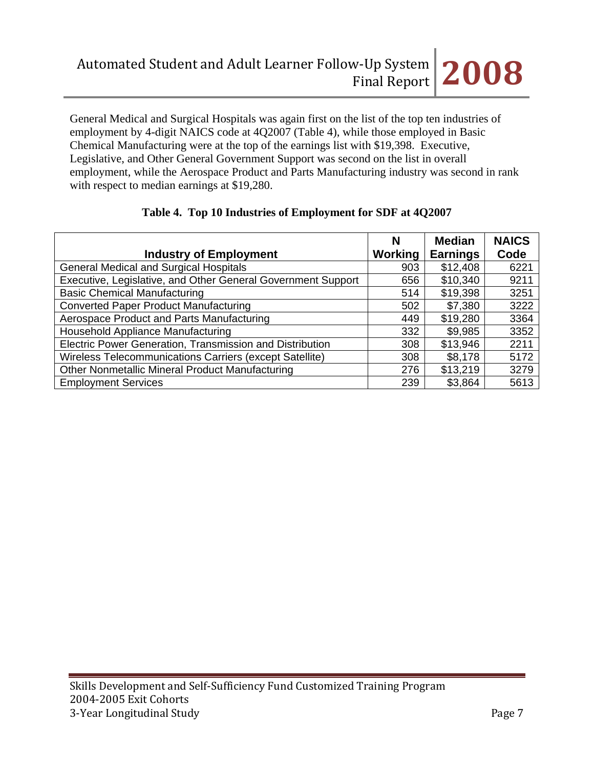

General Medical and Surgical Hospitals was again first on the list of the top ten industries of employment by 4-digit NAICS code at 4Q2007 (Table 4), while those employed in Basic Chemical Manufacturing were at the top of the earnings list with \$19,398. Executive, Legislative, and Other General Government Support was second on the list in overall employment, while the Aerospace Product and Parts Manufacturing industry was second in rank with respect to median earnings at \$19,280.

|                                                              | N       | <b>Median</b>   | <b>NAICS</b> |
|--------------------------------------------------------------|---------|-----------------|--------------|
| <b>Industry of Employment</b>                                | Working | <b>Earnings</b> | Code         |
| <b>General Medical and Surgical Hospitals</b>                | 903     | \$12,408        | 6221         |
| Executive, Legislative, and Other General Government Support | 656     | \$10,340        | 9211         |
| <b>Basic Chemical Manufacturing</b>                          | 514     | \$19,398        | 3251         |
| <b>Converted Paper Product Manufacturing</b>                 | 502     | \$7,380         | 3222         |
| Aerospace Product and Parts Manufacturing                    | 449     | \$19,280        | 3364         |
| Household Appliance Manufacturing                            | 332     | \$9,985         | 3352         |
| Electric Power Generation, Transmission and Distribution     | 308     | \$13,946        | 2211         |
| Wireless Telecommunications Carriers (except Satellite)      | 308     | \$8,178         | 5172         |
| <b>Other Nonmetallic Mineral Product Manufacturing</b>       | 276     | \$13,219        | 3279         |
| <b>Employment Services</b>                                   | 239     | \$3,864         | 5613         |

## **Table 4. Top 10 Industries of Employment for SDF at 4Q2007**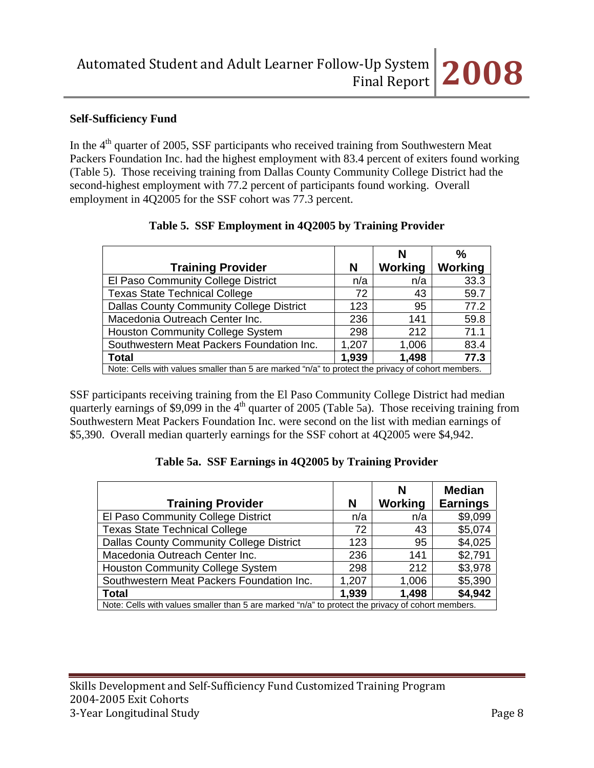## **Self-Sufficiency Fund**

In the  $4<sup>th</sup>$  quarter of 2005, SSF participants who received training from Southwestern Meat Packers Foundation Inc. had the highest employment with 83.4 percent of exiters found working (Table 5). Those receiving training from Dallas County Community College District had the second-highest employment with 77.2 percent of participants found working. Overall employment in 4Q2005 for the SSF cohort was 77.3 percent.

|                                                                                                   |       | N       | %              |
|---------------------------------------------------------------------------------------------------|-------|---------|----------------|
| <b>Training Provider</b>                                                                          | N     | Working | <b>Working</b> |
| El Paso Community College District                                                                | n/a   | n/a     | 33.3           |
| <b>Texas State Technical College</b>                                                              | 72    | 43      | 59.7           |
| <b>Dallas County Community College District</b>                                                   | 123   | 95      | 77.2           |
| Macedonia Outreach Center Inc.                                                                    | 236   | 141     | 59.8           |
| <b>Houston Community College System</b>                                                           | 298   | 212     | 71.1           |
| Southwestern Meat Packers Foundation Inc.                                                         | 1,207 | 1,006   | 83.4           |
| <b>Total</b>                                                                                      | 1,939 | 1,498   | 77.3           |
| Note: Cells with values smaller than 5 are marked "n/a" to protect the privacy of cohort members. |       |         |                |

## **Table 5. SSF Employment in 4Q2005 by Training Provider**

SSF participants receiving training from the El Paso Community College District had median quarterly earnings of \$9,099 in the 4<sup>th</sup> quarter of 2005 (Table 5a). Those receiving training from Southwestern Meat Packers Foundation Inc. were second on the list with median earnings of \$5,390. Overall median quarterly earnings for the SSF cohort at 4Q2005 were \$4,942.

#### **Table 5a. SSF Earnings in 4Q2005 by Training Provider**

|                                                                                                   |       | N       | <b>Median</b>   |  |
|---------------------------------------------------------------------------------------------------|-------|---------|-----------------|--|
| <b>Training Provider</b>                                                                          | N     | Working | <b>Earnings</b> |  |
| El Paso Community College District                                                                | n/a   | n/a     | \$9,099         |  |
| <b>Texas State Technical College</b>                                                              | 72    | 43      | \$5,074         |  |
| <b>Dallas County Community College District</b>                                                   | 123   | 95      | \$4,025         |  |
| Macedonia Outreach Center Inc.                                                                    | 236   | 141     | \$2,791         |  |
| <b>Houston Community College System</b>                                                           | 298   | 212     | \$3,978         |  |
| Southwestern Meat Packers Foundation Inc.                                                         | 1,207 | 1,006   | \$5,390         |  |
| <b>Total</b>                                                                                      | 1,939 | 1,498   | \$4,942         |  |
| Note: Cells with values smaller than 5 are marked "n/a" to protect the privacy of cohort members. |       |         |                 |  |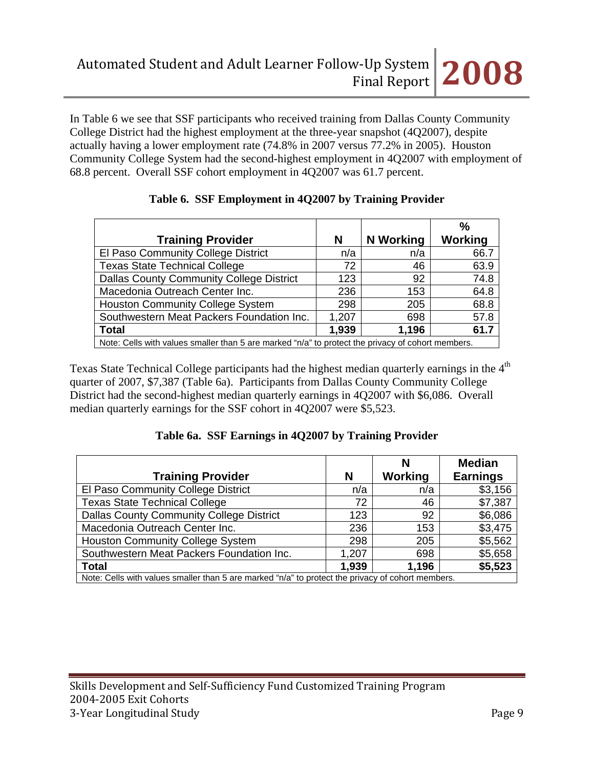In Table 6 we see that SSF participants who received training from Dallas County Community College District had the highest employment at the three-year snapshot (4Q2007), despite actually having a lower employment rate (74.8% in 2007 versus 77.2% in 2005). Houston Community College System had the second-highest employment in 4Q2007 with employment of 68.8 percent. Overall SSF cohort employment in 4Q2007 was 61.7 percent.

|                                                                                                   |       |                  | $\%$    |  |  |
|---------------------------------------------------------------------------------------------------|-------|------------------|---------|--|--|
| <b>Training Provider</b>                                                                          | N     | <b>N</b> Working | Working |  |  |
| El Paso Community College District                                                                | n/a   | n/a              | 66.7    |  |  |
| <b>Texas State Technical College</b>                                                              | 72    | 46               | 63.9    |  |  |
| <b>Dallas County Community College District</b>                                                   | 123   | 92               | 74.8    |  |  |
| Macedonia Outreach Center Inc.                                                                    | 236   | 153              | 64.8    |  |  |
| <b>Houston Community College System</b>                                                           | 298   | 205              | 68.8    |  |  |
| Southwestern Meat Packers Foundation Inc.                                                         | 1,207 | 698              | 57.8    |  |  |
| Total                                                                                             | 1,939 | 1,196            | 61.7    |  |  |
| Note: Cells with values smaller than 5 are marked "n/a" to protect the privacy of cohort members. |       |                  |         |  |  |

# **Table 6. SSF Employment in 4Q2007 by Training Provider**

Texas State Technical College participants had the highest median quarterly earnings in the 4<sup>th</sup> quarter of 2007, \$7,387 (Table 6a). Participants from Dallas County Community College District had the second-highest median quarterly earnings in 4Q2007 with \$6,086. Overall median quarterly earnings for the SSF cohort in 4Q2007 were \$5,523.

# **Table 6a. SSF Earnings in 4Q2007 by Training Provider**

| <b>Training Provider</b>                                                                          | N     | N<br>Working | <b>Median</b><br><b>Earnings</b> |  |
|---------------------------------------------------------------------------------------------------|-------|--------------|----------------------------------|--|
| El Paso Community College District                                                                | n/a   | n/a          | \$3,156                          |  |
| <b>Texas State Technical College</b>                                                              | 72    | 46           | \$7,387                          |  |
| <b>Dallas County Community College District</b>                                                   | 123   | 92           | \$6,086                          |  |
| Macedonia Outreach Center Inc.                                                                    | 236   | 153          | \$3,475                          |  |
| <b>Houston Community College System</b>                                                           | 298   | 205          | \$5,562                          |  |
| Southwestern Meat Packers Foundation Inc.                                                         | 1,207 | 698          | \$5,658                          |  |
| <b>Total</b>                                                                                      | 1,939 | 1,196        | \$5,523                          |  |
| Note: Cells with values smaller than 5 are marked "n/a" to protect the privacy of cohort members. |       |              |                                  |  |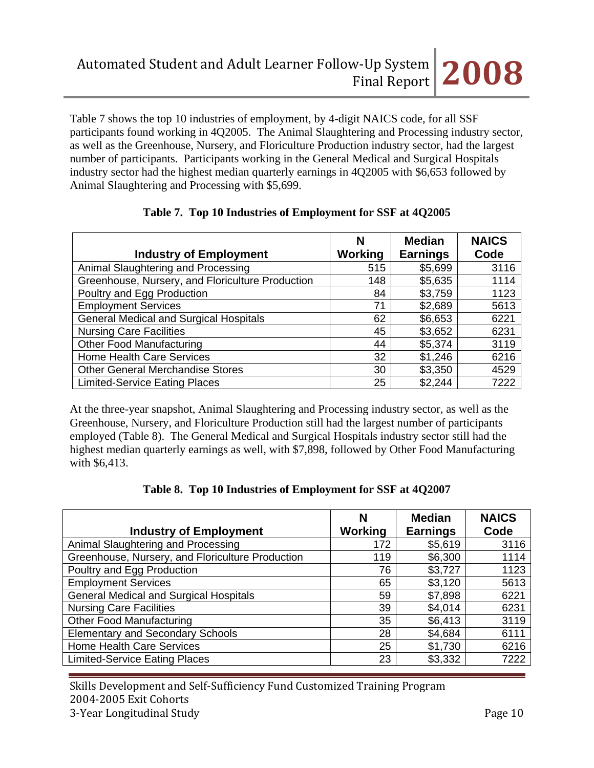Table 7 shows the top 10 industries of employment, by 4-digit NAICS code, for all SSF participants found working in 4Q2005. The Animal Slaughtering and Processing industry sector, as well as the Greenhouse, Nursery, and Floriculture Production industry sector, had the largest number of participants. Participants working in the General Medical and Surgical Hospitals industry sector had the highest median quarterly earnings in 4Q2005 with \$6,653 followed by Animal Slaughtering and Processing with \$5,699.

| <b>Industry of Employment</b>                    | N<br><b>Working</b> | <b>Median</b><br><b>Earnings</b> | <b>NAICS</b><br>Code |
|--------------------------------------------------|---------------------|----------------------------------|----------------------|
| Animal Slaughtering and Processing               | 515                 | \$5,699                          | 3116                 |
| Greenhouse, Nursery, and Floriculture Production | 148                 | \$5,635                          | 1114                 |
| Poultry and Egg Production                       | 84                  | \$3,759                          | 1123                 |
| <b>Employment Services</b>                       | 71                  | \$2,689                          | 5613                 |
| <b>General Medical and Surgical Hospitals</b>    | 62                  | \$6,653                          | 6221                 |
| <b>Nursing Care Facilities</b>                   | 45                  | \$3,652                          | 6231                 |
| <b>Other Food Manufacturing</b>                  | 44                  | \$5,374                          | 3119                 |
| <b>Home Health Care Services</b>                 | 32                  | \$1,246                          | 6216                 |
| <b>Other General Merchandise Stores</b>          | 30                  | \$3,350                          | 4529                 |
| <b>Limited-Service Eating Places</b>             | 25                  | \$2,244                          | 7222                 |

## **Table 7. Top 10 Industries of Employment for SSF at 4Q2005**

At the three-year snapshot, Animal Slaughtering and Processing industry sector, as well as the Greenhouse, Nursery, and Floriculture Production still had the largest number of participants employed (Table 8). The General Medical and Surgical Hospitals industry sector still had the highest median quarterly earnings as well, with \$7,898, followed by Other Food Manufacturing with \$6,413.

|  |  |  |  | Table 8. Top 10 Industries of Employment for SSF at 4Q2007 |
|--|--|--|--|------------------------------------------------------------|
|--|--|--|--|------------------------------------------------------------|

| <b>Industry of Employment</b>                    | N<br>Working | <b>Median</b><br><b>Earnings</b> | <b>NAICS</b><br>Code |
|--------------------------------------------------|--------------|----------------------------------|----------------------|
| Animal Slaughtering and Processing               | 172          | \$5,619                          | 3116                 |
| Greenhouse, Nursery, and Floriculture Production | 119          | \$6,300                          | 1114                 |
| Poultry and Egg Production                       | 76           | \$3,727                          | 1123                 |
| <b>Employment Services</b>                       | 65           | \$3,120                          | 5613                 |
| <b>General Medical and Surgical Hospitals</b>    | 59           | \$7,898                          | 6221                 |
| <b>Nursing Care Facilities</b>                   | 39           | \$4,014                          | 6231                 |
| <b>Other Food Manufacturing</b>                  | 35           | \$6,413                          | 3119                 |
| <b>Elementary and Secondary Schools</b>          | 28           | \$4,684                          | 6111                 |
| <b>Home Health Care Services</b>                 | 25           | \$1,730                          | 6216                 |
| <b>Limited-Service Eating Places</b>             | 23           | \$3,332                          | 7222                 |

Skills Development and Self‐Sufficiency Fund Customized Training Program 2004‐2005 Exit Cohorts 3‐Year Longitudinal Study Page 10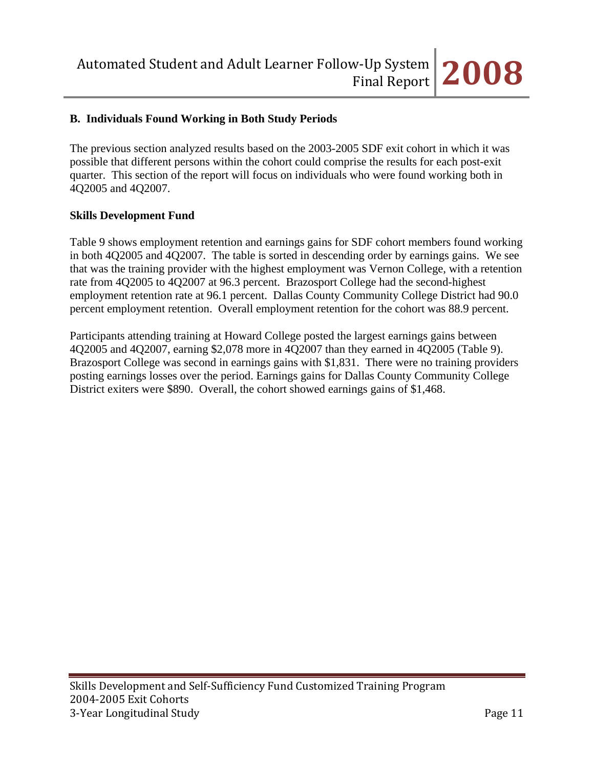

#### **B. Individuals Found Working in Both Study Periods**

The previous section analyzed results based on the 2003-2005 SDF exit cohort in which it was possible that different persons within the cohort could comprise the results for each post-exit quarter. This section of the report will focus on individuals who were found working both in 4Q2005 and 4Q2007.

#### **Skills Development Fund**

Table 9 shows employment retention and earnings gains for SDF cohort members found working in both 4Q2005 and 4Q2007. The table is sorted in descending order by earnings gains. We see that was the training provider with the highest employment was Vernon College, with a retention rate from 4Q2005 to 4Q2007 at 96.3 percent. Brazosport College had the second-highest employment retention rate at 96.1 percent. Dallas County Community College District had 90.0 percent employment retention. Overall employment retention for the cohort was 88.9 percent.

Participants attending training at Howard College posted the largest earnings gains between 4Q2005 and 4Q2007, earning \$2,078 more in 4Q2007 than they earned in 4Q2005 (Table 9). Brazosport College was second in earnings gains with \$1,831. There were no training providers posting earnings losses over the period. Earnings gains for Dallas County Community College District exiters were \$890. Overall, the cohort showed earnings gains of \$1,468.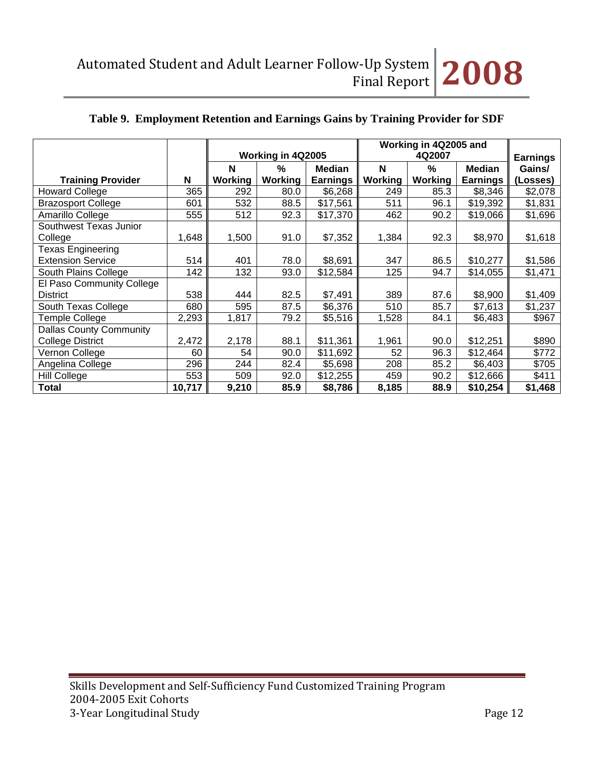# **Table 9. Employment Retention and Earnings Gains by Training Provider for SDF**

|                                |        |                   |               |                 | Working in 4Q2005 and<br>4Q2007 |                 |                 |          |
|--------------------------------|--------|-------------------|---------------|-----------------|---------------------------------|-----------------|-----------------|----------|
|                                |        | Working in 4Q2005 |               |                 |                                 | <b>Earnings</b> |                 |          |
|                                |        | N                 | $\frac{0}{0}$ | <b>Median</b>   | N                               | $\frac{0}{0}$   | <b>Median</b>   | Gains/   |
| <b>Training Provider</b>       | N      | Working           | Working       | <b>Earnings</b> | Working                         | Working         | <b>Earnings</b> | (Losses) |
| <b>Howard College</b>          | 365    | 292               | 80.0          | \$6,268         | 249                             | 85.3            | \$8,346         | \$2,078  |
| <b>Brazosport College</b>      | 601    | 532               | 88.5          | \$17,561        | 511                             | 96.1            | \$19,392        | \$1,831  |
| Amarillo College               | 555    | 512               | 92.3          | \$17,370        | 462                             | 90.2            | \$19,066        | \$1,696  |
| Southwest Texas Junior         |        |                   |               |                 |                                 |                 |                 |          |
| College                        | 1,648  | 1,500             | 91.0          | \$7,352         | 1,384                           | 92.3            | \$8,970         | \$1,618  |
| <b>Texas Engineering</b>       |        |                   |               |                 |                                 |                 |                 |          |
| <b>Extension Service</b>       | 514    | 401               | 78.0          | \$8,691         | 347                             | 86.5            | \$10,277        | \$1,586  |
| South Plains College           | 142    | 132               | 93.0          | \$12,584        | 125                             | 94.7            | \$14,055        | \$1,471  |
| El Paso Community College      |        |                   |               |                 |                                 |                 |                 |          |
| <b>District</b>                | 538    | 444               | 82.5          | \$7,491         | 389                             | 87.6            | \$8,900         | \$1,409  |
| South Texas College            | 680    | 595               | 87.5          | \$6,376         | 510                             | 85.7            | \$7,613         | \$1,237  |
| <b>Temple College</b>          | 2,293  | 1,817             | 79.2          | \$5,516         | 1,528                           | 84.1            | \$6,483         | \$967    |
| <b>Dallas County Community</b> |        |                   |               |                 |                                 |                 |                 |          |
| College District               | 2,472  | 2,178             | 88.1          | \$11,361        | 1,961                           | 90.0            | \$12,251        | \$890    |
| Vernon College                 | 60     | 54                | 90.0          | \$11,692        | 52                              | 96.3            | \$12,464        | \$772    |
| Angelina College               | 296    | 244               | 82.4          | \$5,698         | 208                             | 85.2            | \$6,403         | \$705    |
| Hill College                   | 553    | 509               | 92.0          | \$12,255        | 459                             | 90.2            | \$12,666        | \$411    |
| <b>Total</b>                   | 10,717 | 9,210             | 85.9          | \$8,786         | 8,185                           | 88.9            | \$10,254        | \$1,468  |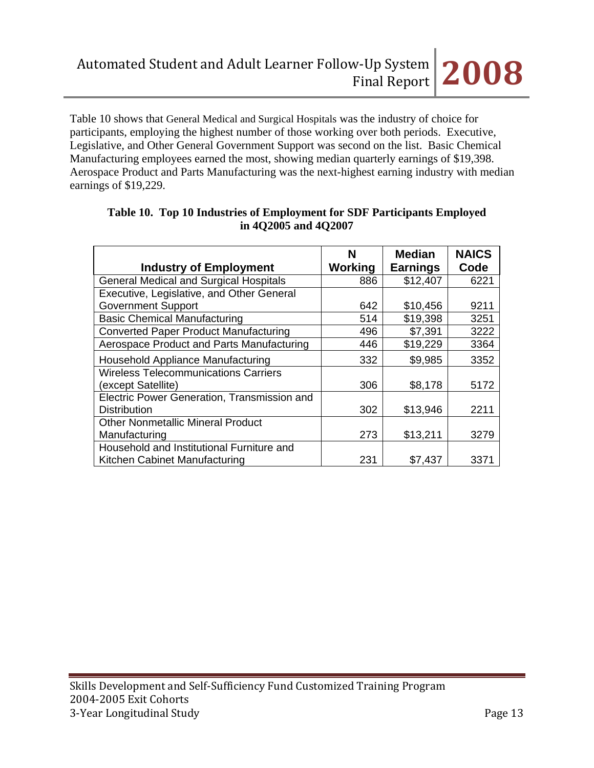Table 10 shows that General Medical and Surgical Hospitals was the industry of choice for participants, employing the highest number of those working over both periods. Executive, Legislative, and Other General Government Support was second on the list. Basic Chemical Manufacturing employees earned the most, showing median quarterly earnings of \$19,398. Aerospace Product and Parts Manufacturing was the next-highest earning industry with median earnings of \$19,229.

| <b>Industry of Employment</b>                 | N<br>Working | <b>Median</b><br><b>Earnings</b> | <b>NAICS</b><br>Code |
|-----------------------------------------------|--------------|----------------------------------|----------------------|
| <b>General Medical and Surgical Hospitals</b> | 886          | \$12,407                         | 6221                 |
| Executive, Legislative, and Other General     |              |                                  |                      |
| <b>Government Support</b>                     | 642          | \$10,456                         | 9211                 |
| <b>Basic Chemical Manufacturing</b>           | 514          | \$19,398                         | 3251                 |
| <b>Converted Paper Product Manufacturing</b>  | 496          | \$7,391                          | 3222                 |
| Aerospace Product and Parts Manufacturing     | 446          | \$19,229                         | 3364                 |
| Household Appliance Manufacturing             | 332          | \$9,985                          | 3352                 |
| <b>Wireless Telecommunications Carriers</b>   |              |                                  |                      |
| (except Satellite)                            | 306          | \$8,178                          | 5172                 |
| Electric Power Generation, Transmission and   |              |                                  |                      |
| <b>Distribution</b>                           | 302          | \$13,946                         | 2211                 |
| <b>Other Nonmetallic Mineral Product</b>      |              |                                  |                      |
| Manufacturing                                 | 273          | \$13,211                         | 3279                 |
| Household and Institutional Furniture and     |              |                                  |                      |
| Kitchen Cabinet Manufacturing                 | 231          | \$7,437                          | 3371                 |

# **Table 10. Top 10 Industries of Employment for SDF Participants Employed in 4Q2005 and 4Q2007**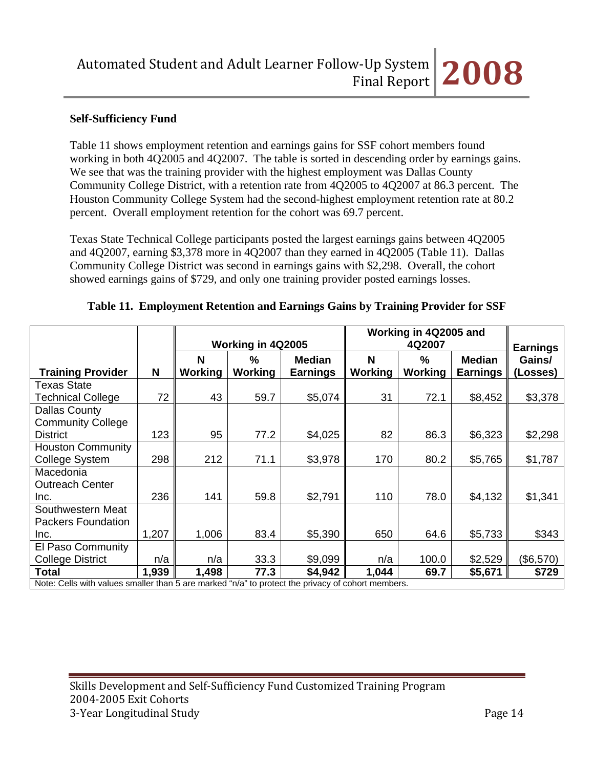## **Self-Sufficiency Fund**

Table 11 shows employment retention and earnings gains for SSF cohort members found working in both 4Q2005 and 4Q2007. The table is sorted in descending order by earnings gains. We see that was the training provider with the highest employment was Dallas County Community College District, with a retention rate from 4Q2005 to 4Q2007 at 86.3 percent. The Houston Community College System had the second-highest employment retention rate at 80.2 percent. Overall employment retention for the cohort was 69.7 percent.

Texas State Technical College participants posted the largest earnings gains between 4Q2005 and 4Q2007, earning \$3,378 more in 4Q2007 than they earned in 4Q2005 (Table 11). Dallas Community College District was second in earnings gains with \$2,298. Overall, the cohort showed earnings gains of \$729, and only one training provider posted earnings losses.

|                                                                                                   |       | Working in 4Q2005 |               |                 | Working in 4Q2005 and | <b>Earnings</b> |                 |           |
|---------------------------------------------------------------------------------------------------|-------|-------------------|---------------|-----------------|-----------------------|-----------------|-----------------|-----------|
|                                                                                                   |       | N                 | $\frac{9}{6}$ | <b>Median</b>   | N                     | $\frac{0}{0}$   | <b>Median</b>   | Gains/    |
| <b>Training Provider</b>                                                                          | N     | Working           | Working       | <b>Earnings</b> | <b>Working</b>        | Working         | <b>Earnings</b> | (Losses)  |
| <b>Texas State</b>                                                                                |       |                   |               |                 |                       |                 |                 |           |
| <b>Technical College</b>                                                                          | 72    | 43                | 59.7          | \$5,074         | 31                    | 72.1            | \$8,452         | \$3,378   |
| Dallas County                                                                                     |       |                   |               |                 |                       |                 |                 |           |
| <b>Community College</b>                                                                          |       |                   |               |                 |                       |                 |                 |           |
| <b>District</b>                                                                                   | 123   | 95                | 77.2          | \$4,025         | 82                    | 86.3            | \$6,323         | \$2,298   |
| <b>Houston Community</b>                                                                          |       |                   |               |                 |                       |                 |                 |           |
| <b>College System</b>                                                                             | 298   | 212               | 71.1          | \$3,978         | 170                   | 80.2            | \$5,765         | \$1,787   |
| Macedonia                                                                                         |       |                   |               |                 |                       |                 |                 |           |
| <b>Outreach Center</b>                                                                            |       |                   |               |                 |                       |                 |                 |           |
| Inc.                                                                                              | 236   | 141               | 59.8          | \$2,791         | 110                   | 78.0            | \$4,132         | \$1,341   |
| Southwestern Meat                                                                                 |       |                   |               |                 |                       |                 |                 |           |
| <b>Packers Foundation</b>                                                                         |       |                   |               |                 |                       |                 |                 |           |
| Inc.                                                                                              | 1,207 | 1,006             | 83.4          | \$5,390         | 650                   | 64.6            | \$5,733         | \$343     |
| El Paso Community                                                                                 |       |                   |               |                 |                       |                 |                 |           |
| <b>College District</b>                                                                           | n/a   | n/a               | 33.3          | \$9,099         | n/a                   | 100.0           | \$2,529         | (\$6,570) |
| <b>Total</b>                                                                                      | 1,939 | 1,498             | 77.3          | \$4,942         | 1,044                 | 69.7            | \$5,671         | \$729     |
| Note: Cells with values smaller than 5 are marked "n/a" to protect the privacy of cohort members. |       |                   |               |                 |                       |                 |                 |           |

#### **Table 11. Employment Retention and Earnings Gains by Training Provider for SSF**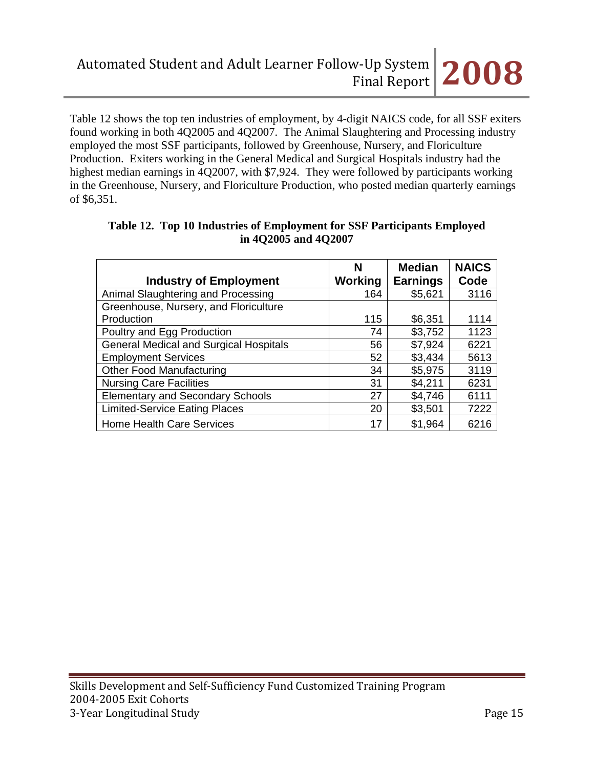Table 12 shows the top ten industries of employment, by 4-digit NAICS code, for all SSF exiters found working in both 4Q2005 and 4Q2007. The Animal Slaughtering and Processing industry employed the most SSF participants, followed by Greenhouse, Nursery, and Floriculture Production. Exiters working in the General Medical and Surgical Hospitals industry had the highest median earnings in 4Q2007, with \$7,924. They were followed by participants working in the Greenhouse, Nursery, and Floriculture Production, who posted median quarterly earnings of \$6,351.

|                                               | N       | <b>Median</b>   | <b>NAICS</b> |
|-----------------------------------------------|---------|-----------------|--------------|
| <b>Industry of Employment</b>                 | Working | <b>Earnings</b> | Code         |
| Animal Slaughtering and Processing            | 164     | \$5,621         | 3116         |
| Greenhouse, Nursery, and Floriculture         |         |                 |              |
| Production                                    | 115     | \$6,351         | 1114         |
| Poultry and Egg Production                    | 74      | \$3,752         | 1123         |
| <b>General Medical and Surgical Hospitals</b> | 56      | \$7,924         | 6221         |
| <b>Employment Services</b>                    | 52      | \$3,434         | 5613         |
| <b>Other Food Manufacturing</b>               | 34      | \$5,975         | 3119         |
| <b>Nursing Care Facilities</b>                | 31      | \$4,211         | 6231         |
| <b>Elementary and Secondary Schools</b>       | 27      | \$4,746         | 6111         |
| <b>Limited-Service Eating Places</b>          | 20      | \$3,501         | 7222         |
| Home Health Care Services                     | 17      | \$1,964         | 6216         |

| Table 12. Top 10 Industries of Employment for SSF Participants Employed |
|-------------------------------------------------------------------------|
| in 4Q2005 and 4Q2007                                                    |